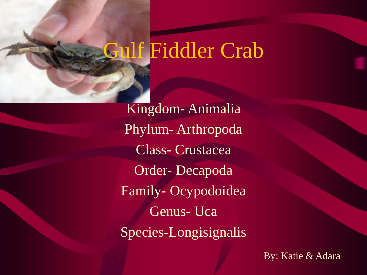# Gulf Fiddler Crab

Kingdom- Animalia Phylum- Arthropoda Class- Crustacea Order- Decapoda Family- Ocypodoidea Genus- Uca Species-Longisignalis

By: Katie & Adara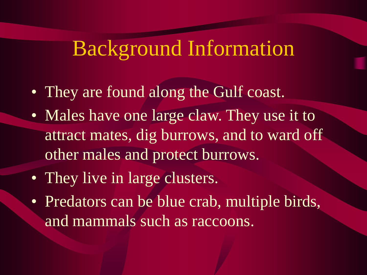### Background Information

- They are found along the Gulf coast.
- Males have one large claw. They use it to attract mates, dig burrows, and to ward off other males and protect burrows.
- They live in large clusters.
- Predators can be blue crab, multiple birds, and mammals such as raccoons.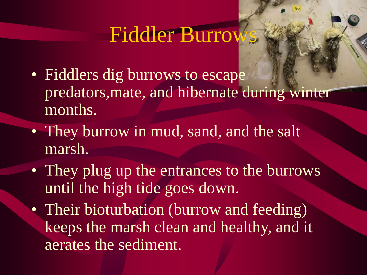### Fiddler Burrow

- Fiddlers dig burrows to escape predators,mate, and hibernate during winter months.
- They burrow in mud, sand, and the salt marsh.
- They plug up the entrances to the burrows until the high tide goes down.
- Their bioturbation (burrow and feeding) keeps the marsh clean and healthy, and it aerates the sediment.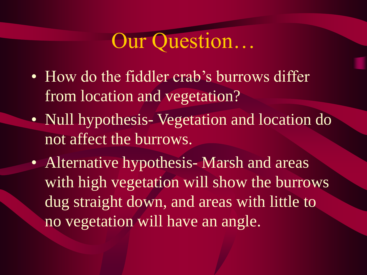# Our Question…

- How do the fiddler crab's burrows differ from location and vegetation?
- Null hypothesis-Vegetation and location do not affect the burrows.
- Alternative hypothesis-Marsh and areas with high vegetation will show the burrows dug straight down, and areas with little to no vegetation will have an angle.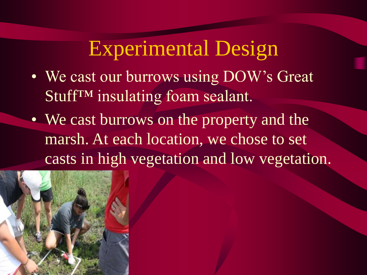### Experimental Design

- We cast our burrows using DOW's Great Stuff™ insulating foam sealant.
- We cast burrows on the property and the marsh. At each location, we chose to set casts in high vegetation and low vegetation.

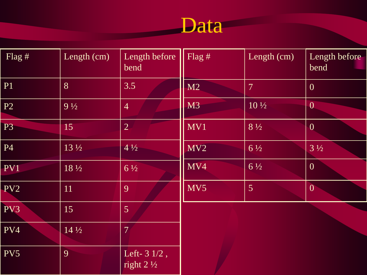# Data Report

| Flag $#$  | Length (cm)     | Length before<br>bend                           | Flag $#$         | Length (cm)     | Length before<br>bend |
|-----------|-----------------|-------------------------------------------------|------------------|-----------------|-----------------------|
| <b>P1</b> | 8               | 3.5                                             | M2               | $\overline{7}$  | $\overline{0}$        |
| P2        | $9\frac{1}{2}$  | $\overline{4}$                                  | M <sub>3</sub>   | $10\frac{1}{2}$ | $\overline{0}$        |
| <b>P3</b> | 15              | $\overline{2}$                                  | MV1              | $8\frac{1}{2}$  | $\overline{0}$        |
| P4        | $13\frac{1}{2}$ | $4\frac{1}{2}$                                  | MV2              | $6\frac{1}{2}$  | $3\frac{1}{2}$        |
| PV1       | $18\frac{1}{2}$ | $6\frac{1}{2}$                                  | M <sub>V</sub> 4 | $6\frac{1}{2}$  | $\overline{0}$        |
| PV2       | 11              | 9                                               | MV5              | $\overline{5}$  | $\overline{0}$        |
| PV3       | 15              | 5 <sup>1</sup>                                  |                  |                 |                       |
| PV4       | $14\frac{1}{2}$ | $\overline{7}$                                  |                  |                 |                       |
| PV5       | 9               | Left- $3 \frac{1}{2}$ ,<br>right $2\frac{1}{2}$ |                  |                 |                       |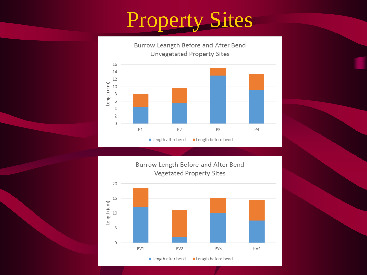# Property Sites





PV<sub>2</sub>

Length after bend

PV3

Length before bend

PV4

 $\mathbf 0$ 

PV1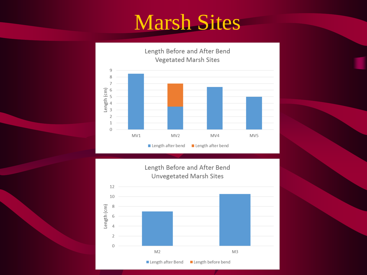# Marsh Sites





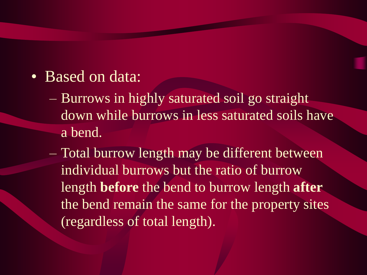- Based on data:
	- Burrows in highly saturated soil go straight down while burrows in less saturated soils have a bend.
	- Total burrow length may be different between individual burrows but the ratio of burrow length **before** the bend to burrow length **after** the bend remain the same for the property sites (regardless of total length).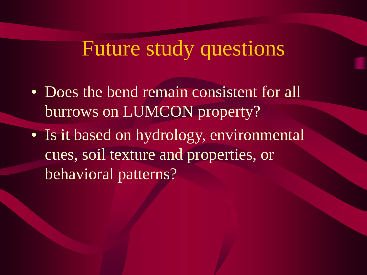## Future study questions

- Does the bend remain consistent for all burrows on LUMCON property?
- Is it based on hydrology, environmental cues, soil texture and properties, or behavioral patterns?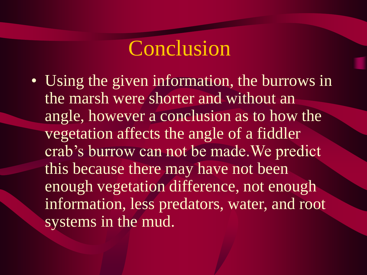## Conclusion

• Using the given information, the burrows in the marsh were shorter and without an angle, however a conclusion as to how the vegetation affects the angle of a fiddler crab's burrow can not be made.We predict this because there may have not been enough vegetation difference, not enough information, less predators, water, and root systems in the mud.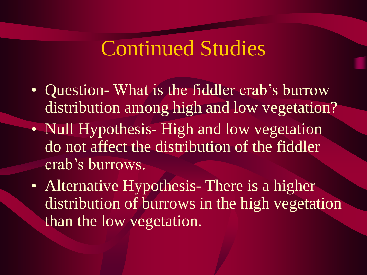#### Continued Studies

- Question-What is the fiddler crab's burrow distribution among high and low vegetation?
- Null Hypothesis- High and low vegetation do not affect the distribution of the fiddler crab's burrows.
- Alternative Hypothesis- There is a higher distribution of burrows in the high vegetation than the low vegetation.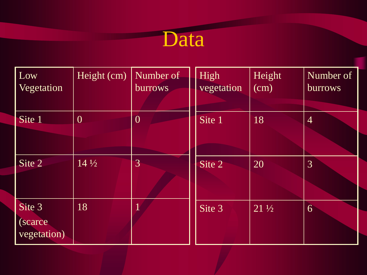

| Low<br>Vegetation                 | Height (cm)     | Number of<br><b>burrows</b> | High<br>vegetation | Height<br>(cm)  | Number of<br><b>burrows</b> |
|-----------------------------------|-----------------|-----------------------------|--------------------|-----------------|-----------------------------|
| Site 1                            | $\overline{0}$  | $\overline{0}$              | Site 1             | 18              | $\overline{4}$              |
| Site 2                            | $14\frac{1}{2}$ | 3                           | Site 2             | 20              | 3                           |
| Site 3<br>(scarce)<br>vegetation) | 18              |                             | Site 3             | $21\frac{1}{2}$ | 6                           |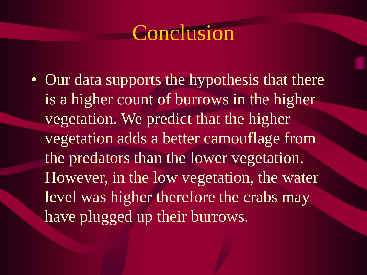### Conclusion

• Our data supports the hypothesis that there is a higher count of burrows in the higher vegetation. We predict that the higher vegetation adds a better camouflage from the predators than the lower vegetation. However, in the low vegetation, the water level was higher therefore the crabs may have plugged up their burrows.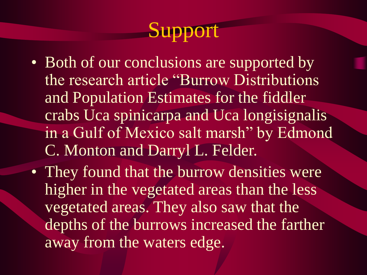# Support

- Both of our conclusions are supported by the research article "Burrow Distributions and Population Estimates for the fiddler crabs Uca spinicarpa and Uca longisignalis in a Gulf of Mexico salt marsh" by Edmond C. Monton and Darryl L. Felder.
- They found that the burrow densities were higher in the vegetated areas than the less vegetated areas. They also saw that the depths of the burrows increased the farther away from the waters edge.